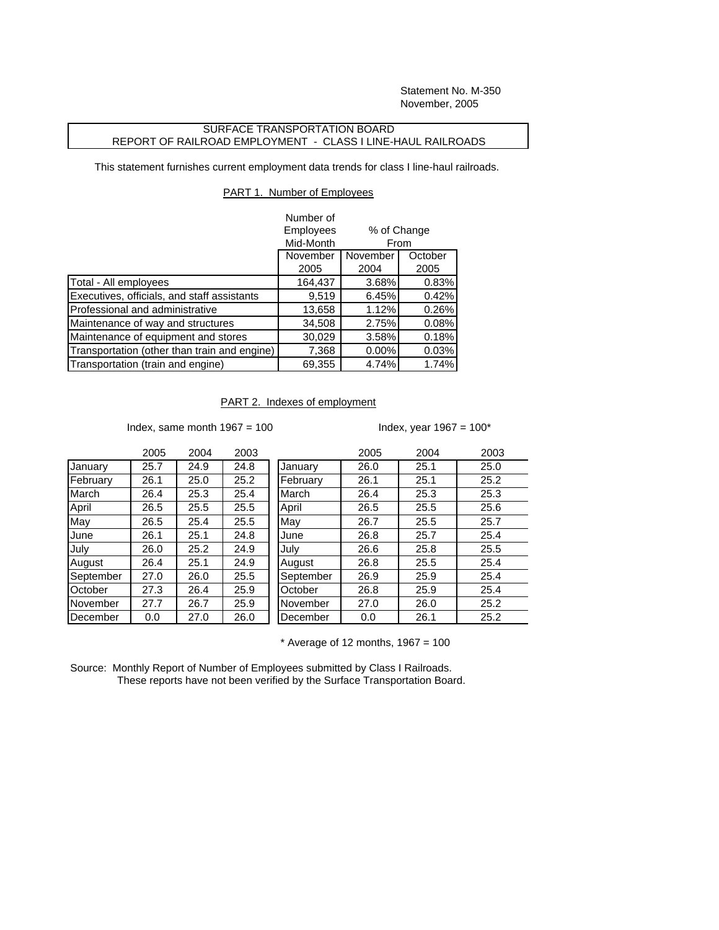Statement No. M-350 November, 2005

## SURFACE TRANSPORTATION BOARD REPORT OF RAILROAD EMPLOYMENT - CLASS I LINE-HAUL RAILROADS

This statement furnishes current employment data trends for class I line-haul railroads.

## PART 1. Number of Employees

|                                              | Number of<br>Employees |                     |         |
|----------------------------------------------|------------------------|---------------------|---------|
|                                              | Mid-Month              | % of Change<br>From |         |
|                                              | November<br>November   |                     | October |
|                                              | 2005                   | 2004                | 2005    |
| Total - All employees                        | 164,437                | 3.68%               | 0.83%   |
| Executives, officials, and staff assistants  | 9,519                  | 6.45%               | 0.42%   |
| Professional and administrative              | 13,658                 | 1.12%               | 0.26%   |
| Maintenance of way and structures            | 34,508                 | 2.75%               | 0.08%   |
| Maintenance of equipment and stores          | 30,029                 | 3.58%               | 0.18%   |
| Transportation (other than train and engine) | 7,368                  | 0.00%               | 0.03%   |
| Transportation (train and engine)            | 69,355                 | 4.74%               | 1.74%   |

## PART 2. Indexes of employment

Index, same month  $1967 = 100$  Index, year  $1967 = 100^*$ 

|           | 2005 | 2004 | 2003 |           | 2005 | 2004 | 2003 |
|-----------|------|------|------|-----------|------|------|------|
| January   | 25.7 | 24.9 | 24.8 | January   | 26.0 | 25.1 | 25.0 |
| February  | 26.1 | 25.0 | 25.2 | February  | 26.1 | 25.1 | 25.2 |
| March     | 26.4 | 25.3 | 25.4 | March     | 26.4 | 25.3 | 25.3 |
| April     | 26.5 | 25.5 | 25.5 | April     | 26.5 | 25.5 | 25.6 |
| May       | 26.5 | 25.4 | 25.5 | May       | 26.7 | 25.5 | 25.7 |
| June      | 26.1 | 25.1 | 24.8 | June      | 26.8 | 25.7 | 25.4 |
| July      | 26.0 | 25.2 | 24.9 | July      | 26.6 | 25.8 | 25.5 |
| August    | 26.4 | 25.1 | 24.9 | August    | 26.8 | 25.5 | 25.4 |
| September | 27.0 | 26.0 | 25.5 | September | 26.9 | 25.9 | 25.4 |
| October   | 27.3 | 26.4 | 25.9 | October   | 26.8 | 25.9 | 25.4 |
| November  | 27.7 | 26.7 | 25.9 | November  | 27.0 | 26.0 | 25.2 |
| December  | 0.0  | 27.0 | 26.0 | December  | 0.0  | 26.1 | 25.2 |
|           |      |      |      |           |      |      |      |

 $*$  Average of 12 months, 1967 = 100

Source: Monthly Report of Number of Employees submitted by Class I Railroads. These reports have not been verified by the Surface Transportation Board.